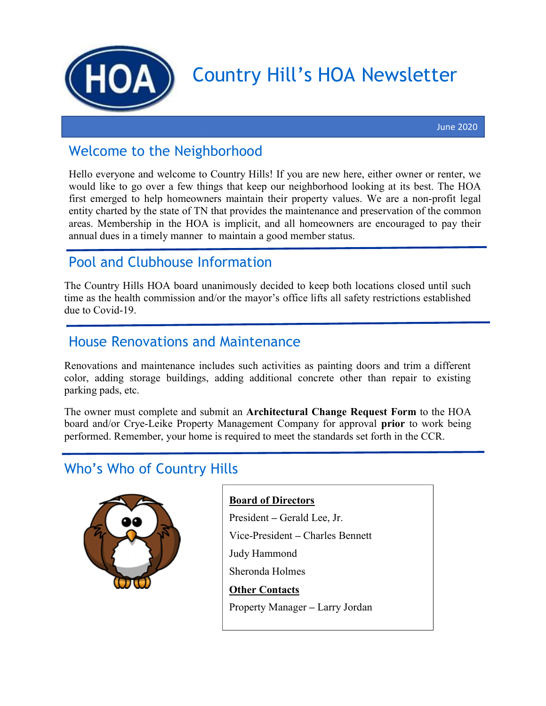

# Country Hill's HOA Newsletter

#### Welcome to the Neighborhood

Hello everyone and welcome to Country Hills! If you are new here, either owner or renter, we would like to go over a few things that keep our neighborhood looking at its best. The HOA first emerged to help homeowners maintain their property values. We are a non-profit legal entity charted by the state of TN that provides the maintenance and preservation of the common areas. Membership in the HOA is implicit, and all homeowners are encouraged to pay their annual dues in a timely manner to maintain a good member status.

### Pool and Clubhouse Information

The Country Hills HOA board unanimously decided to keep both locations closed until such time as the health commission and/or the mayor's office lifts all safety restrictions established due to Covid-19.

#### House Renovations and Maintenance

Renovations and maintenance includes such activities as painting doors and trim a different color, adding storage buildings, adding additional concrete other than repair to existing parking pads, etc.

The owner must complete and submit an Architectural Change Request Form to the HOA board and/or Crye-Leike Property Management Company for approval prior to work being performed. Remember, your home is required to meet the standards set forth in the CCR.

#### Who's Who of Country Hills



#### Board of Directors

President – Gerald Lee, Jr. Vice-President – Charles Bennett Judy Hammond Sheronda Holmes Other Contacts

Property Manager – Larry Jordan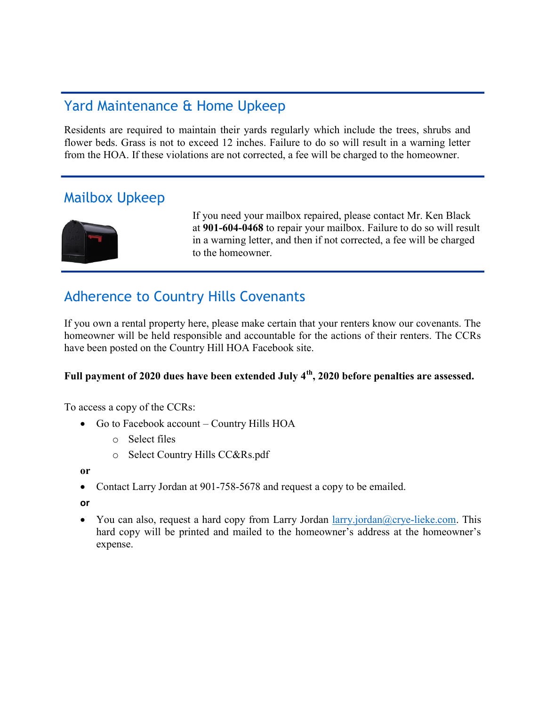#### Yard Maintenance & Home Upkeep

Residents are required to maintain their yards regularly which include the trees, shrubs and flower beds. Grass is not to exceed 12 inches. Failure to do so will result in a warning letter from the HOA. If these violations are not corrected, a fee will be charged to the homeowner.

#### Mailbox Upkeep



If you need your mailbox repaired, please contact Mr. Ken Black at 901-604-0468 to repair your mailbox. Failure to do so will result in a warning letter, and then if not corrected, a fee will be charged to the homeowner.

### Adherence to Country Hills Covenants

If you own a rental property here, please make certain that your renters know our covenants. The homeowner will be held responsible and accountable for the actions of their renters. The CCRs have been posted on the Country Hill HOA Facebook site.

#### Full payment of 2020 dues have been extended July  $4<sup>th</sup>$ , 2020 before penalties are assessed.

To access a copy of the CCRs:

- Go to Facebook account Country Hills HOA
	- o Select files
	- o Select Country Hills CC&Rs.pdf

or

• Contact Larry Jordan at 901-758-5678 and request a copy to be emailed.

or

You can also, request a hard copy from Larry Jordan  $lary.jordan@crye-like.com$ . This hard copy will be printed and mailed to the homeowner's address at the homeowner's expense.